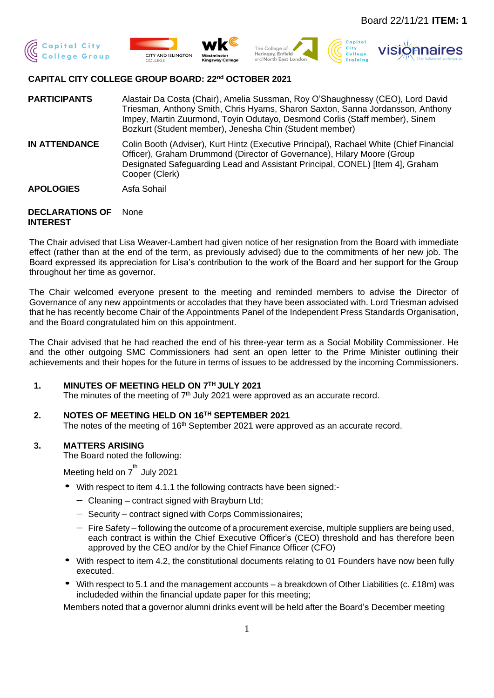







# **CAPITAL CITY COLLEGE GROUP BOARD: 22nd OCTOBER 2021**

**PARTICIPANTS** Alastair Da Costa (Chair), Amelia Sussman, Roy O'Shaughnessy (CEO), Lord David Triesman, Anthony Smith, Chris Hyams, Sharon Saxton, Sanna Jordansson, Anthony Impey, Martin Zuurmond, Toyin Odutayo, Desmond Corlis (Staff member), Sinem Bozkurt (Student member), Jenesha Chin (Student member)

**IN ATTENDANCE** Colin Booth (Adviser), Kurt Hintz (Executive Principal), Rachael White (Chief Financial Officer), Graham Drummond (Director of Governance), Hilary Moore (Group Designated Safeguarding Lead and Assistant Principal, CONEL) [Item 4], Graham Cooper (Clerk)

**APOLOGIES** Asfa Sohail

#### **DECLARATIONS OF INTEREST** None

The Chair advised that Lisa Weaver-Lambert had given notice of her resignation from the Board with immediate effect (rather than at the end of the term, as previously advised) due to the commitments of her new job. The Board expressed its appreciation for Lisa's contribution to the work of the Board and her support for the Group throughout her time as governor.

The Chair welcomed everyone present to the meeting and reminded members to advise the Director of Governance of any new appointments or accolades that they have been associated with. Lord Triesman advised that he has recently become Chair of the Appointments Panel of the Independent Press Standards Organisation, and the Board congratulated him on this appointment.

The Chair advised that he had reached the end of his three-year term as a Social Mobility Commissioner. He and the other outgoing SMC Commissioners had sent an open letter to the Prime Minister outlining their achievements and their hopes for the future in terms of issues to be addressed by the incoming Commissioners.

## **1. MINUTES OF MEETING HELD ON 7TH JULY 2021**

The minutes of the meeting of  $7<sup>th</sup>$  July 2021 were approved as an accurate record.

## **2. NOTES OF MEETING HELD ON 16TH SEPTEMBER 2021**

The notes of the meeting of 16<sup>th</sup> September 2021 were approved as an accurate record.

## **3. MATTERS ARISING**

The Board noted the following:

Meeting held on  $7^{\text{th}}$  July 2021

- With respect to item 4.1.1 the following contracts have been signed:-
	- − Cleaning contract signed with Brayburn Ltd;
	- − Security contract signed with Corps Commissionaires;
	- − Fire Safety following the outcome of a procurement exercise, multiple suppliers are being used, each contract is within the Chief Executive Officer's (CEO) threshold and has therefore been approved by the CEO and/or by the Chief Finance Officer (CFO)
- With respect to item 4.2, the constitutional documents relating to 01 Founders have now been fully executed.
- With respect to 5.1 and the management accounts a breakdown of Other Liabilities (c. £18m) was includeded within the financial update paper for this meeting;

Members noted that a governor alumni drinks event will be held after the Board's December meeting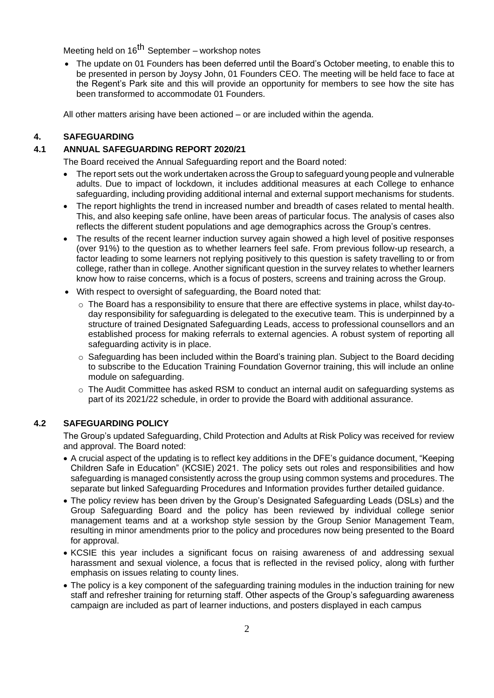Meeting held on 16<sup>th</sup> September – workshop notes

• The update on 01 Founders has been deferred until the Board's October meeting, to enable this to be presented in person by Joysy John, 01 Founders CEO. The meeting will be held face to face at the Regent's Park site and this will provide an opportunity for members to see how the site has been transformed to accommodate 01 Founders.

All other matters arising have been actioned – or are included within the agenda.

### **4. SAFEGUARDING**

## **4.1 ANNUAL SAFEGUARDING REPORT 2020/21**

The Board received the Annual Safeguarding report and the Board noted:

- The report sets out the work undertaken across the Group to safeguard young people and vulnerable adults. Due to impact of lockdown, it includes additional measures at each College to enhance safeguarding, including providing additional internal and external support mechanisms for students.
- The report highlights the trend in increased number and breadth of cases related to mental health. This, and also keeping safe online, have been areas of particular focus. The analysis of cases also reflects the different student populations and age demographics across the Group's centres.
- The results of the recent learner induction survey again showed a high level of positive responses (over 91%) to the question as to whether learners feel safe. From previous follow-up research, a factor leading to some learners not replying positively to this question is safety travelling to or from college, rather than in college. Another significant question in the survey relates to whether learners know how to raise concerns, which is a focus of posters, screens and training across the Group.
- With respect to oversight of safeguarding, the Board noted that:
	- $\circ$  The Board has a responsibility to ensure that there are effective systems in place, whilst day-today responsibility for safeguarding is delegated to the executive team. This is underpinned by a structure of trained Designated Safeguarding Leads, access to professional counsellors and an established process for making referrals to external agencies. A robust system of reporting all safeguarding activity is in place.
	- $\circ$  Safeguarding has been included within the Board's training plan. Subject to the Board deciding to subscribe to the Education Training Foundation Governor training, this will include an online module on safeguarding.
	- o The Audit Committee has asked RSM to conduct an internal audit on safeguarding systems as part of its 2021/22 schedule, in order to provide the Board with additional assurance.

### **4.2 SAFEGUARDING POLICY**

The Group's updated Safeguarding, Child Protection and Adults at Risk Policy was received for review and approval. The Board noted:

- A crucial aspect of the updating is to reflect key additions in the DFE's guidance document, "Keeping Children Safe in Education" (KCSIE) 2021. The policy sets out roles and responsibilities and how safeguarding is managed consistently across the group using common systems and procedures. The separate but linked Safeguarding Procedures and Information provides further detailed guidance.
- The policy review has been driven by the Group's Designated Safeguarding Leads (DSLs) and the Group Safeguarding Board and the policy has been reviewed by individual college senior management teams and at a workshop style session by the Group Senior Management Team, resulting in minor amendments prior to the policy and procedures now being presented to the Board for approval.
- KCSIE this year includes a significant focus on raising awareness of and addressing sexual harassment and sexual violence, a focus that is reflected in the revised policy, along with further emphasis on issues relating to county lines.
- The policy is a key component of the safeguarding training modules in the induction training for new staff and refresher training for returning staff. Other aspects of the Group's safeguarding awareness campaign are included as part of learner inductions, and posters displayed in each campus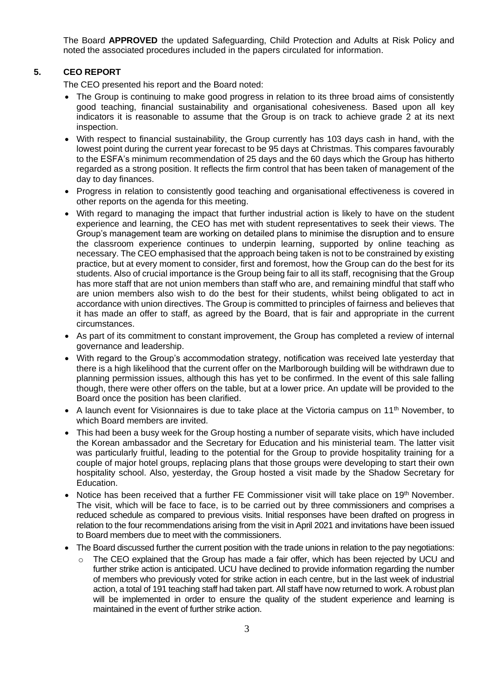The Board **APPROVED** the updated Safeguarding, Child Protection and Adults at Risk Policy and noted the associated procedures included in the papers circulated for information.

## **5. CEO REPORT**

The CEO presented his report and the Board noted:

- The Group is continuing to make good progress in relation to its three broad aims of consistently good teaching, financial sustainability and organisational cohesiveness. Based upon all key indicators it is reasonable to assume that the Group is on track to achieve grade 2 at its next inspection.
- With respect to financial sustainability, the Group currently has 103 days cash in hand, with the lowest point during the current year forecast to be 95 days at Christmas. This compares favourably to the ESFA's minimum recommendation of 25 days and the 60 days which the Group has hitherto regarded as a strong position. It reflects the firm control that has been taken of management of the day to day finances.
- Progress in relation to consistently good teaching and organisational effectiveness is covered in other reports on the agenda for this meeting.
- With regard to managing the impact that further industrial action is likely to have on the student experience and learning, the CEO has met with student representatives to seek their views. The Group's management team are working on detailed plans to minimise the disruption and to ensure the classroom experience continues to underpin learning, supported by online teaching as necessary. The CEO emphasised that the approach being taken is not to be constrained by existing practice, but at every moment to consider, first and foremost, how the Group can do the best for its students. Also of crucial importance is the Group being fair to all its staff, recognising that the Group has more staff that are not union members than staff who are, and remaining mindful that staff who are union members also wish to do the best for their students, whilst being obligated to act in accordance with union directives. The Group is committed to principles of fairness and believes that it has made an offer to staff, as agreed by the Board, that is fair and appropriate in the current circumstances.
- As part of its commitment to constant improvement, the Group has completed a review of internal governance and leadership.
- With regard to the Group's accommodation strategy, notification was received late yesterday that there is a high likelihood that the current offer on the Marlborough building will be withdrawn due to planning permission issues, although this has yet to be confirmed. In the event of this sale falling though, there were other offers on the table, but at a lower price. An update will be provided to the Board once the position has been clarified.
- A launch event for Visionnaires is due to take place at the Victoria campus on  $11<sup>th</sup>$  November, to which Board members are invited.
- This had been a busy week for the Group hosting a number of separate visits, which have included the Korean ambassador and the Secretary for Education and his ministerial team. The latter visit was particularly fruitful, leading to the potential for the Group to provide hospitality training for a couple of major hotel groups, replacing plans that those groups were developing to start their own hospitality school. Also, yesterday, the Group hosted a visit made by the Shadow Secretary for Education.
- Notice has been received that a further FE Commissioner visit will take place on 19th November. The visit, which will be face to face, is to be carried out by three commissioners and comprises a reduced schedule as compared to previous visits. Initial responses have been drafted on progress in relation to the four recommendations arising from the visit in April 2021 and invitations have been issued to Board members due to meet with the commissioners.
- The Board discussed further the current position with the trade unions in relation to the pay negotiations:
	- $\circ$  The CEO explained that the Group has made a fair offer, which has been rejected by UCU and further strike action is anticipated. UCU have declined to provide information regarding the number of members who previously voted for strike action in each centre, but in the last week of industrial action, a total of 191 teaching staff had taken part. All staff have now returned to work. A robust plan will be implemented in order to ensure the quality of the student experience and learning is maintained in the event of further strike action.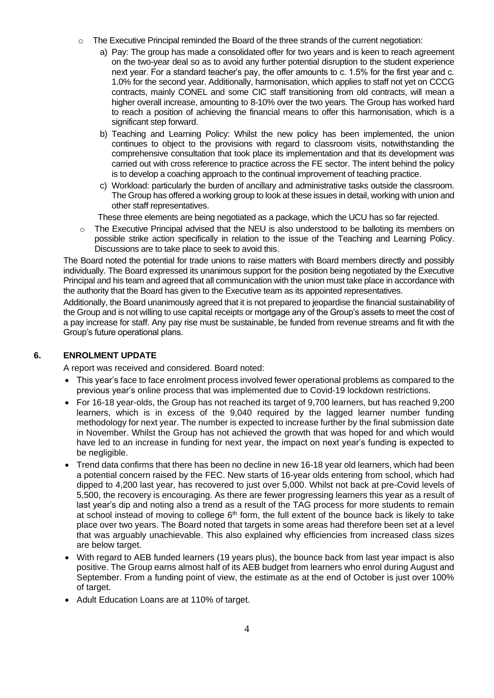- o The Executive Principal reminded the Board of the three strands of the current negotiation:
	- a) Pay: The group has made a consolidated offer for two years and is keen to reach agreement on the two-year deal so as to avoid any further potential disruption to the student experience next year. For a standard teacher's pay, the offer amounts to c. 1.5% for the first year and c. 1.0% for the second year. Additionally, harmonisation, which applies to staff not yet on CCCG contracts, mainly CONEL and some CIC staff transitioning from old contracts, will mean a higher overall increase, amounting to 8-10% over the two years. The Group has worked hard to reach a position of achieving the financial means to offer this harmonisation, which is a significant step forward.
	- b) Teaching and Learning Policy: Whilst the new policy has been implemented, the union continues to object to the provisions with regard to classroom visits, notwithstanding the comprehensive consultation that took place its implementation and that its development was carried out with cross reference to practice across the FE sector. The intent behind the policy is to develop a coaching approach to the continual improvement of teaching practice.
	- c) Workload: particularly the burden of ancillary and administrative tasks outside the classroom. The Group has offered a working group to look at these issues in detail, working with union and other staff representatives.
	- These three elements are being negotiated as a package, which the UCU has so far rejected.
- $\circ$  The Executive Principal advised that the NEU is also understood to be balloting its members on possible strike action specifically in relation to the issue of the Teaching and Learning Policy. Discussions are to take place to seek to avoid this.

The Board noted the potential for trade unions to raise matters with Board members directly and possibly individually. The Board expressed its unanimous support for the position being negotiated by the Executive Principal and his team and agreed that all communication with the union must take place in accordance with the authority that the Board has given to the Executive team as its appointed representatives.

Additionally, the Board unanimously agreed that it is not prepared to jeopardise the financial sustainability of the Group and is not willing to use capital receipts or mortgage any of the Group's assets to meet the cost of a pay increase for staff. Any pay rise must be sustainable, be funded from revenue streams and fit with the Group's future operational plans.

## **6. ENROLMENT UPDATE**

A report was received and considered. Board noted:

- This year's face to face enrolment process involved fewer operational problems as compared to the previous year's online process that was implemented due to Covid-19 lockdown restrictions.
- For 16-18 year-olds, the Group has not reached its target of 9,700 learners, but has reached 9,200 learners, which is in excess of the 9,040 required by the lagged learner number funding methodology for next year. The number is expected to increase further by the final submission date in November. Whilst the Group has not achieved the growth that was hoped for and which would have led to an increase in funding for next year, the impact on next year's funding is expected to be negligible.
- Trend data confirms that there has been no decline in new 16-18 year old learners, which had been a potential concern raised by the FEC. New starts of 16-year olds entering from school, which had dipped to 4,200 last year, has recovered to just over 5,000. Whilst not back at pre-Covid levels of 5,500, the recovery is encouraging. As there are fewer progressing learners this year as a result of last year's dip and noting also a trend as a result of the TAG process for more students to remain at school instead of moving to college  $6<sup>th</sup>$  form, the full extent of the bounce back is likely to take place over two years. The Board noted that targets in some areas had therefore been set at a level that was arguably unachievable. This also explained why efficiencies from increased class sizes are below target.
- With regard to AEB funded learners (19 years plus), the bounce back from last year impact is also positive. The Group earns almost half of its AEB budget from learners who enrol during August and September. From a funding point of view, the estimate as at the end of October is just over 100% of target.
- Adult Education Loans are at 110% of target.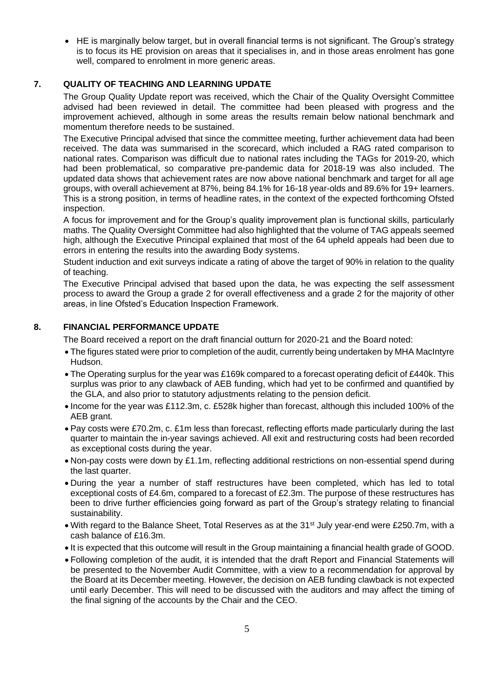• HE is marginally below target, but in overall financial terms is not significant. The Group's strategy is to focus its HE provision on areas that it specialises in, and in those areas enrolment has gone well, compared to enrolment in more generic areas.

# **7. QUALITY OF TEACHING AND LEARNING UPDATE**

The Group Quality Update report was received, which the Chair of the Quality Oversight Committee advised had been reviewed in detail. The committee had been pleased with progress and the improvement achieved, although in some areas the results remain below national benchmark and momentum therefore needs to be sustained.

The Executive Principal advised that since the committee meeting, further achievement data had been received. The data was summarised in the scorecard, which included a RAG rated comparison to national rates. Comparison was difficult due to national rates including the TAGs for 2019-20, which had been problematical, so comparative pre-pandemic data for 2018-19 was also included. The updated data shows that achievement rates are now above national benchmark and target for all age groups, with overall achievement at 87%, being 84.1% for 16-18 year-olds and 89.6% for 19+ learners. This is a strong position, in terms of headline rates, in the context of the expected forthcoming Ofsted inspection.

A focus for improvement and for the Group's quality improvement plan is functional skills, particularly maths. The Quality Oversight Committee had also highlighted that the volume of TAG appeals seemed high, although the Executive Principal explained that most of the 64 upheld appeals had been due to errors in entering the results into the awarding Body systems.

Student induction and exit surveys indicate a rating of above the target of 90% in relation to the quality of teaching.

The Executive Principal advised that based upon the data, he was expecting the self assessment process to award the Group a grade 2 for overall effectiveness and a grade 2 for the majority of other areas, in line Ofsted's Education Inspection Framework.

# **8. FINANCIAL PERFORMANCE UPDATE**

The Board received a report on the draft financial outturn for 2020-21 and the Board noted:

- The figures stated were prior to completion of the audit, currently being undertaken by MHA MacIntyre Hudson.
- The Operating surplus for the year was £169k compared to a forecast operating deficit of £440k. This surplus was prior to any clawback of AEB funding, which had yet to be confirmed and quantified by the GLA, and also prior to statutory adjustments relating to the pension deficit.
- Income for the year was £112.3m, c. £528k higher than forecast, although this included 100% of the AEB grant.
- Pay costs were £70.2m, c. £1m less than forecast, reflecting efforts made particularly during the last quarter to maintain the in-year savings achieved. All exit and restructuring costs had been recorded as exceptional costs during the year.
- Non-pay costs were down by £1.1m, reflecting additional restrictions on non-essential spend during the last quarter.
- During the year a number of staff restructures have been completed, which has led to total exceptional costs of £4.6m, compared to a forecast of £2.3m. The purpose of these restructures has been to drive further efficiencies going forward as part of the Group's strategy relating to financial sustainability.
- With regard to the Balance Sheet, Total Reserves as at the 31<sup>st</sup> July year-end were £250.7m, with a cash balance of £16.3m.
- It is expected that this outcome will result in the Group maintaining a financial health grade of GOOD.
- Following completion of the audit, it is intended that the draft Report and Financial Statements will be presented to the November Audit Committee, with a view to a recommendation for approval by the Board at its December meeting. However, the decision on AEB funding clawback is not expected until early December. This will need to be discussed with the auditors and may affect the timing of the final signing of the accounts by the Chair and the CEO.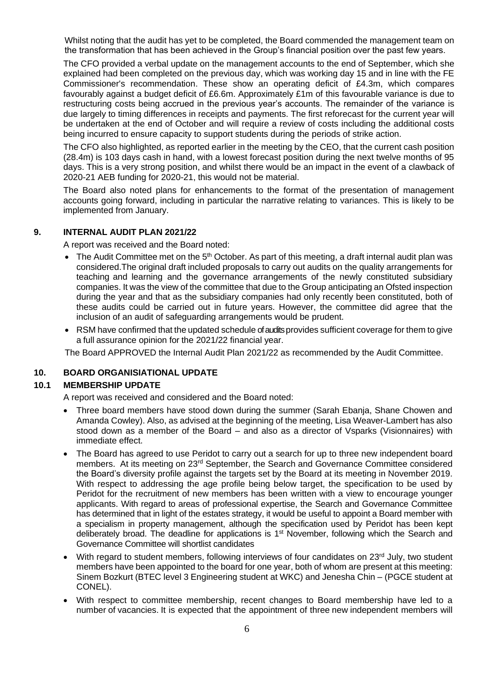Whilst noting that the audit has yet to be completed, the Board commended the management team on the transformation that has been achieved in the Group's financial position over the past few years.

The CFO provided a verbal update on the management accounts to the end of September, which she explained had been completed on the previous day, which was working day 15 and in line with the FE Commissioner's recommendation. These show an operating deficit of £4.3m, which compares favourably against a budget deficit of £6.6m. Approximately £1m of this favourable variance is due to restructuring costs being accrued in the previous year's accounts. The remainder of the variance is due largely to timing differences in receipts and payments. The first reforecast for the current year will be undertaken at the end of October and will require a review of costs including the additional costs being incurred to ensure capacity to support students during the periods of strike action.

The CFO also highlighted, as reported earlier in the meeting by the CEO, that the current cash position (28.4m) is 103 days cash in hand, with a lowest forecast position during the next twelve months of 95 days. This is a very strong position, and whilst there would be an impact in the event of a clawback of 2020-21 AEB funding for 2020-21, this would not be material.

The Board also noted plans for enhancements to the format of the presentation of management accounts going forward, including in particular the narrative relating to variances. This is likely to be implemented from January.

## **9. INTERNAL AUDIT PLAN 2021/22**

A report was received and the Board noted:

- The Audit Committee met on the  $5<sup>th</sup>$  October. As part of this meeting, a draft internal audit plan was considered.The original draft included proposals to carry out audits on the quality arrangements for teaching and learning and the governance arrangements of the newly constituted subsidiary companies. It was the view of the committee that due to the Group anticipating an Ofsted inspection during the year and that as the subsidiary companies had only recently been constituted, both of these audits could be carried out in future years. However, the committee did agree that the inclusion of an audit of safeguarding arrangements would be prudent.
- RSM have confirmed that the updated schedule of audits provides sufficient coverage for them to give a full assurance opinion for the 2021/22 financial year.

The Board APPROVED the Internal Audit Plan 2021/22 as recommended by the Audit Committee.

### **10. BOARD ORGANISIATIONAL UPDATE**

### **10.1 MEMBERSHIP UPDATE**

A report was received and considered and the Board noted:

- Three board members have stood down during the summer (Sarah Ebanja, Shane Chowen and Amanda Cowley). Also, as advised at the beginning of the meeting, Lisa Weaver-Lambert has also stood down as a member of the Board – and also as a director of Vsparks (Visionnaires) with immediate effect.
- The Board has agreed to use Peridot to carry out a search for up to three new independent board members. At its meeting on 23rd September, the Search and Governance Committee considered the Board's diversity profile against the targets set by the Board at its meeting in November 2019. With respect to addressing the age profile being below target, the specification to be used by Peridot for the recruitment of new members has been written with a view to encourage younger applicants. With regard to areas of professional expertise, the Search and Governance Committee has determined that in light of the estates strategy, it would be useful to appoint a Board member with a specialism in property management, although the specification used by Peridot has been kept deliberately broad. The deadline for applications is 1<sup>st</sup> November, following which the Search and Governance Committee will shortlist candidates
- With regard to student members, following interviews of four candidates on 23<sup>rd</sup> July, two student members have been appointed to the board for one year, both of whom are present at this meeting: Sinem Bozkurt (BTEC level 3 Engineering student at WKC) and Jenesha Chin – (PGCE student at CONEL).
- With respect to committee membership, recent changes to Board membership have led to a number of vacancies. It is expected that the appointment of three new independent members will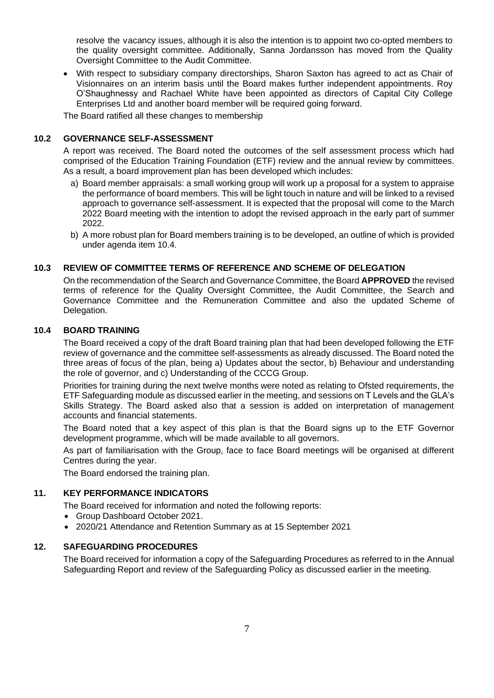resolve the vacancy issues, although it is also the intention is to appoint two co-opted members to the quality oversight committee. Additionally, Sanna Jordansson has moved from the Quality Oversight Committee to the Audit Committee.

• With respect to subsidiary company directorships, Sharon Saxton has agreed to act as Chair of Visionnaires on an interim basis until the Board makes further independent appointments. Roy O'Shaughnessy and Rachael White have been appointed as directors of Capital City College Enterprises Ltd and another board member will be required going forward.

The Board ratified all these changes to membership

# **10.2 GOVERNANCE SELF-ASSESSMENT**

A report was received. The Board noted the outcomes of the self assessment process which had comprised of the Education Training Foundation (ETF) review and the annual review by committees. As a result, a board improvement plan has been developed which includes:

- a) Board member appraisals: a small working group will work up a proposal for a system to appraise the performance of board members. This will be light touch in nature and will be linked to a revised approach to governance self-assessment. It is expected that the proposal will come to the March 2022 Board meeting with the intention to adopt the revised approach in the early part of summer 2022.
- b) A more robust plan for Board members training is to be developed, an outline of which is provided under agenda item 10.4.

## **10.3 REVIEW OF COMMITTEE TERMS OF REFERENCE AND SCHEME OF DELEGATION**

On the recommendation of the Search and Governance Committee, the Board **APPROVED** the revised terms of reference for the Quality Oversight Committee, the Audit Committee, the Search and Governance Committee and the Remuneration Committee and also the updated Scheme of Delegation.

### **10.4 BOARD TRAINING**

The Board received a copy of the draft Board training plan that had been developed following the ETF review of governance and the committee self-assessments as already discussed. The Board noted the three areas of focus of the plan, being a) Updates about the sector, b) Behaviour and understanding the role of governor, and c) Understanding of the CCCG Group.

Priorities for training during the next twelve months were noted as relating to Ofsted requirements, the ETF Safeguarding module as discussed earlier in the meeting, and sessions on T Levels and the GLA's Skills Strategy. The Board asked also that a session is added on interpretation of management accounts and financial statements.

The Board noted that a key aspect of this plan is that the Board signs up to the ETF Governor development programme, which will be made available to all governors.

As part of familiarisation with the Group, face to face Board meetings will be organised at different Centres during the year.

The Board endorsed the training plan.

## **11. KEY PERFORMANCE INDICATORS**

The Board received for information and noted the following reports:

- Group Dashboard October 2021.
- 2020/21 Attendance and Retention Summary as at 15 September 2021

## **12. SAFEGUARDING PROCEDURES**

The Board received for information a copy of the Safeguarding Procedures as referred to in the Annual Safeguarding Report and review of the Safeguarding Policy as discussed earlier in the meeting.